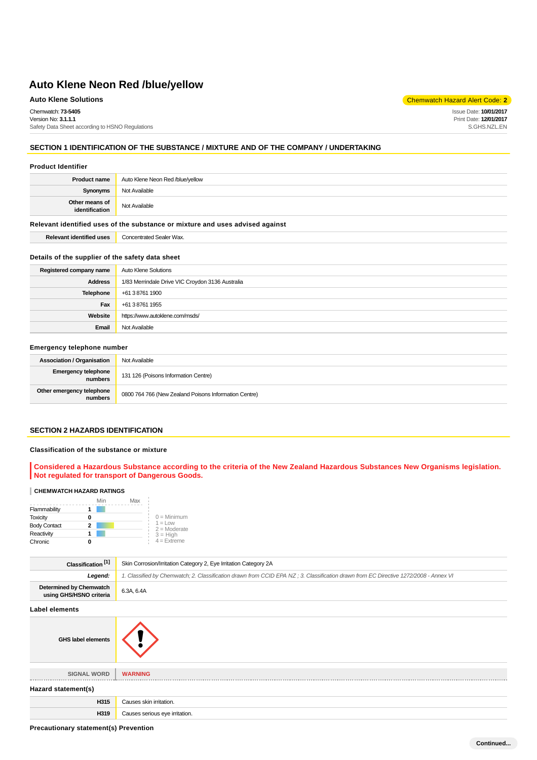Chemwatch: **73-5405** Version No: **3.1.1.1** Safety Data Sheet according to HSNO Regulations

**Auto Klene Solutions** Chemwatch Hazard Alert Code: **2** 

Issue Date: **10/01/2017** Print Date: **12/01/2017** S.GHS.NZL.EN

# **SECTION 1 IDENTIFICATION OF THE SUBSTANCE / MIXTURE AND OF THE COMPANY / UNDERTAKING**

#### **Product Identifier**

| <b>Product name</b>              | Auto Klene Neon Red /blue/yellow |
|----------------------------------|----------------------------------|
| Synonyms                         | Not Available                    |
| Other means of<br>identification | Not Available                    |

#### **Relevant identified uses of the substance or mixture and uses advised against**

**Relevant identified uses** Concentrated Sealer Wax.

#### **Details of the supplier of the safety data sheet**

| Registered company name | Auto Klene Solutions                             |
|-------------------------|--------------------------------------------------|
| <b>Address</b>          | 1/83 Merrindale Drive VIC Croydon 3136 Australia |
| Telephone               | +61 3 8761 1900                                  |
| Fax                     | +61 3 8761 1955                                  |
| Website                 | https://www.autoklene.com/msds/                  |
| Email                   | Not Available                                    |

## **Emergency telephone number**

| <b>Association / Organisation</b>     | Not Available                                         |
|---------------------------------------|-------------------------------------------------------|
| <b>Emergency telephone</b><br>numbers | 131 126 (Poisons Information Centre)                  |
| Other emergency telephone<br>numbers  | 0800 764 766 (New Zealand Poisons Information Centre) |

#### **SECTION 2 HAZARDS IDENTIFICATION**

#### **Classification of the substance or mixture**

**Considered a Hazardous Substance according to the criteria of the New Zealand Hazardous Substances New Organisms legislation. Not regulated for transport of Dangerous Goods.**

#### **CHEMWATCH HAZARD RATINGS**

|                     | Min | Max |                                    |
|---------------------|-----|-----|------------------------------------|
| Flammability        |     |     |                                    |
| <b>Toxicity</b>     |     |     | $0 =$ Minimum                      |
| <b>Body Contact</b> | 2   |     | $1 = 1$ $\Omega$<br>$2 =$ Moderate |
| Reactivity          |     |     | $3 = High$                         |
| Chronic             |     |     | $4 =$ Extreme                      |

| Classification <sup>[1]</sup>                             | Skin Corrosion/Irritation Category 2, Eye Irritation Category 2A                                                                     |  |
|-----------------------------------------------------------|--------------------------------------------------------------------------------------------------------------------------------------|--|
| Legend:                                                   | 1. Classified by Chemwatch; 2. Classification drawn from CCID EPA NZ; 3. Classification drawn from EC Directive 1272/2008 - Annex VI |  |
| <b>Determined by Chemwatch</b><br>using GHS/HSNO criteria | 6.3A, 6.4A                                                                                                                           |  |
| Label elements                                            |                                                                                                                                      |  |



**Precautionary statement(s) Prevention**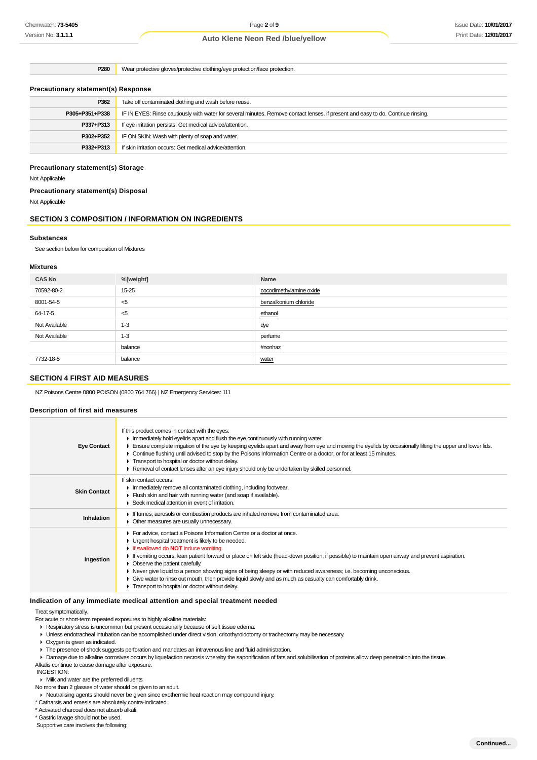**P280** Wear protective gloves/protective clothing/eye protection/face protection.

#### **Precautionary statement(s) Response**

| P362           | Take off contaminated clothing and wash before reuse.                                                                            |  |
|----------------|----------------------------------------------------------------------------------------------------------------------------------|--|
| P305+P351+P338 | IF IN EYES: Rinse cautiously with water for several minutes. Remove contact lenses, if present and easy to do. Continue rinsing. |  |
| P337+P313      | If eye irritation persists: Get medical advice/attention.                                                                        |  |
| P302+P352      | IF ON SKIN: Wash with plenty of soap and water.                                                                                  |  |
| P332+P313      | If skin irritation occurs: Get medical advice/attention.                                                                         |  |
|                |                                                                                                                                  |  |

### **Precautionary statement(s) Storage**

Not Applicable

#### **Precautionary statement(s) Disposal**

Not Applicable

# **SECTION 3 COMPOSITION / INFORMATION ON INGREDIENTS**

#### **Substances**

See section below for composition of Mixtures

## **Mixtures**

| <b>CAS No</b> | %[weight] | Name                    |
|---------------|-----------|-------------------------|
| 70592-80-2    | 15-25     | cocodimethylamine oxide |
| 8001-54-5     | $<$ 5     | benzalkonium chloride   |
| 64-17-5       | $<$ 5     | ethanol                 |
| Not Available | $1 - 3$   | dye                     |
| Not Available | $1 - 3$   | perfume                 |
|               | balance   | #nonhaz                 |
| 7732-18-5     | balance   | water                   |

## **SECTION 4 FIRST AID MEASURES**

NZ Poisons Centre 0800 POISON (0800 764 766) | NZ Emergency Services: 111

## **Description of first aid measures**

| <b>Eye Contact</b>  | If this product comes in contact with the eyes:<br>In Immediately hold eyelids apart and flush the eye continuously with running water.<br>Ensure complete irrigation of the eye by keeping eyelids apart and away from eye and moving the eyelids by occasionally lifting the upper and lower lids.<br>► Continue flushing until advised to stop by the Poisons Information Centre or a doctor, or for at least 15 minutes.<br>Transport to hospital or doctor without delay.<br>► Removal of contact lenses after an eye injury should only be undertaken by skilled personnel.                                                                            |
|---------------------|--------------------------------------------------------------------------------------------------------------------------------------------------------------------------------------------------------------------------------------------------------------------------------------------------------------------------------------------------------------------------------------------------------------------------------------------------------------------------------------------------------------------------------------------------------------------------------------------------------------------------------------------------------------|
| <b>Skin Contact</b> | If skin contact occurs:<br>In mediately remove all contaminated clothing, including footwear.<br>Flush skin and hair with running water (and soap if available).<br>▶ Seek medical attention in event of irritation.                                                                                                                                                                                                                                                                                                                                                                                                                                         |
| Inhalation          | If fumes, aerosols or combustion products are inhaled remove from contaminated area.<br>• Other measures are usually unnecessary.                                                                                                                                                                                                                                                                                                                                                                                                                                                                                                                            |
| Ingestion           | For advice, contact a Poisons Information Centre or a doctor at once.<br>• Urgent hospital treatment is likely to be needed.<br>If swallowed do <b>NOT</b> induce vomiting.<br>F If vomiting occurs, lean patient forward or place on left side (head-down position, if possible) to maintain open airway and prevent aspiration.<br>• Observe the patient carefully.<br>► Never give liquid to a person showing signs of being sleepy or with reduced awareness; i.e. becoming unconscious.<br>• Give water to rinse out mouth, then provide liquid slowly and as much as casualty can comfortably drink.<br>Transport to hospital or doctor without delay. |

## **Indication of any immediate medical attention and special treatment needed**

Treat symptomatically.

For acute or short-term repeated exposures to highly alkaline materials:

- Respiratory stress is uncommon but present occasionally because of soft tissue edema.
- Unless endotracheal intubation can be accomplished under direct vision, cricothyroidotomy or tracheotomy may be necessary.
- Oxygen is given as indicated.
- The presence of shock suggests perforation and mandates an intravenous line and fluid administration.

Damage due to alkaline corrosives occurs by liquefaction necrosis whereby the saponification of fats and solubilisation of proteins allow deep penetration into the tissue.

Alkalis continue to cause damage after exposure.

INGESTION:

Milk and water are the preferred diluents

- No more than 2 glasses of water should be given to an adult.
- Neutralising agents should never be given since exothermic heat reaction may compound injury.
- \* Catharsis and emesis are absolutely contra-indicated.

\* Activated charcoal does not absorb alkali.

\* Gastric lavage should not be used.

Supportive care involves the following: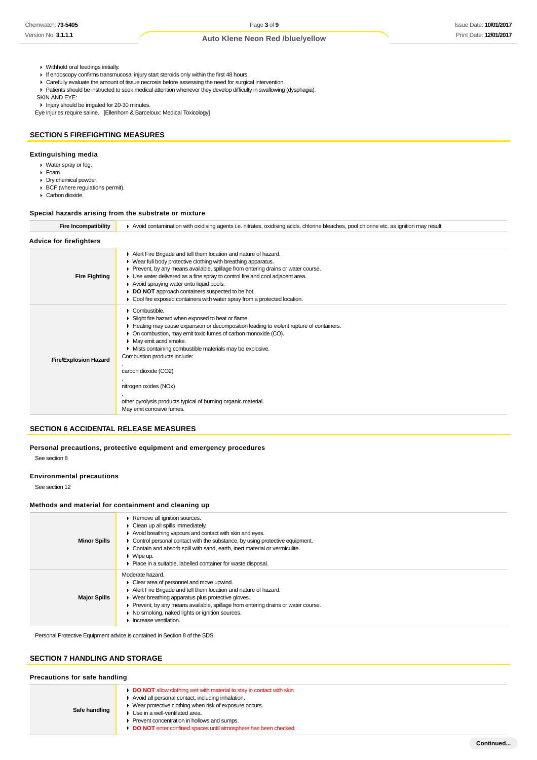- Withhold oral feedings initially.
- If endoscopy confirms transmucosal injury start steroids only within the first 48 hours.
- Carefully evaluate the amount of tissue necrosis before assessing the need for surgical intervention.
- Patients should be instructed to seek medical attention whenever they develop difficulty in swallowing (dysphagia). SKIN AND EYE:

Injury should be irrigated for 20-30 minutes.

Eye injuries require saline. [Ellenhorn & Barceloux: Medical Toxicology]

## **SECTION 5 FIREFIGHTING MEASURES**

#### **Extinguishing media**

- Water spray or fog.
- Foam.
- Dry chemical powder. ▶ BCF (where regulations permit).
- Carbon dioxide.
- 

## **Special hazards arising from the substrate or mixture**

| <b>Fire Incompatibility</b>    | Avoid contamination with oxidising agents i.e. nitrates, oxidising acids, chlorine bleaches, pool chlorine etc. as ignition may result                                                                                                                                                                                                                                                                                                                                                                                   |  |
|--------------------------------|--------------------------------------------------------------------------------------------------------------------------------------------------------------------------------------------------------------------------------------------------------------------------------------------------------------------------------------------------------------------------------------------------------------------------------------------------------------------------------------------------------------------------|--|
| <b>Advice for firefighters</b> |                                                                                                                                                                                                                                                                                                                                                                                                                                                                                                                          |  |
| <b>Fire Fighting</b>           | Alert Fire Brigade and tell them location and nature of hazard.<br>▶ Wear full body protective clothing with breathing apparatus.<br>► Prevent, by any means available, spillage from entering drains or water course.<br>• Use water delivered as a fine spray to control fire and cool adjacent area.<br>Avoid spraying water onto liquid pools.<br>DO NOT approach containers suspected to be hot.<br>• Cool fire exposed containers with water spray from a protected location.                                      |  |
| <b>Fire/Explosion Hazard</b>   | $\triangleright$ Combustible.<br>Slight fire hazard when exposed to heat or flame.<br>► Heating may cause expansion or decomposition leading to violent rupture of containers.<br>• On combustion, may emit toxic fumes of carbon monoxide (CO).<br>• May emit acrid smoke.<br>• Mists containing combustible materials may be explosive.<br>Combustion products include:<br>carbon dioxide (CO2)<br>nitrogen oxides (NOx)<br>other pyrolysis products typical of burning organic material.<br>May emit corrosive fumes. |  |

## **SECTION 6 ACCIDENTAL RELEASE MEASURES**

**Personal precautions, protective equipment and emergency procedures** See section 8

**Environmental precautions**

See section 12

#### **Methods and material for containment and cleaning up**

| <b>Minor Spills</b> | Remove all ignition sources.<br>$\triangleright$ Clean up all spills immediately.<br>Avoid breathing vapours and contact with skin and eyes.<br>• Control personal contact with the substance, by using protective equipment.<br>• Contain and absorb spill with sand, earth, inert material or vermiculite.<br>$\triangleright$ Wipe up.<br>▶ Place in a suitable, labelled container for waste disposal. |
|---------------------|------------------------------------------------------------------------------------------------------------------------------------------------------------------------------------------------------------------------------------------------------------------------------------------------------------------------------------------------------------------------------------------------------------|
| <b>Major Spills</b> | Moderate hazard.<br>$\triangleright$ Clear area of personnel and move upwind.<br>Alert Fire Brigade and tell them location and nature of hazard.<br>▶ Wear breathing apparatus plus protective gloves.<br>• Prevent, by any means available, spillage from entering drains or water course.<br>• No smoking, naked lights or ignition sources.<br>Increase ventilation.                                    |

Personal Protective Equipment advice is contained in Section 8 of the SDS.

## **SECTION 7 HANDLING AND STORAGE**

#### **Precautions for safe handling**

| Safe handling | DO NOT allow clothing wet with material to stay in contact with skin<br>Avoid all personal contact, including inhalation.<br>Wear protective clothing when risk of exposure occurs.<br>Use in a well-ventilated area.<br>Prevent concentration in hollows and sumps.<br>DO NOT enter confined spaces until atmosphere has been checked. |
|---------------|-----------------------------------------------------------------------------------------------------------------------------------------------------------------------------------------------------------------------------------------------------------------------------------------------------------------------------------------|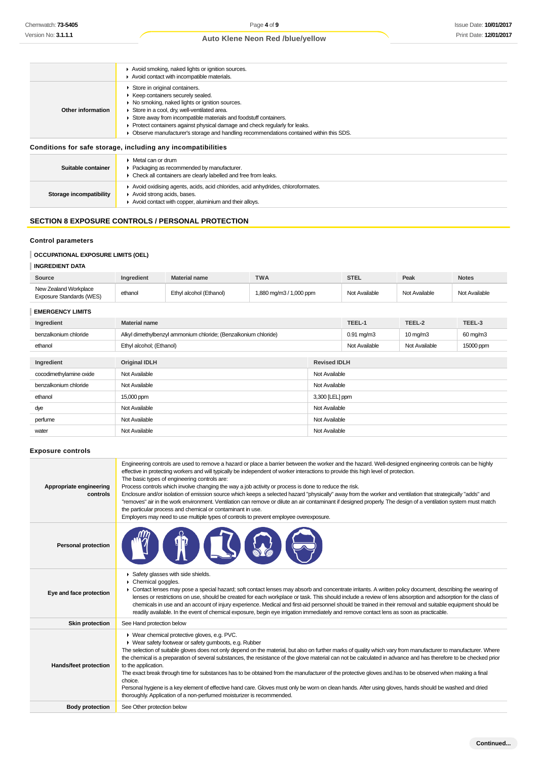|                                                              | Avoid smoking, naked lights or ignition sources.<br>Avoid contact with incompatible materials.                                                                                                                                                                                                                                                                                                                       |  |
|--------------------------------------------------------------|----------------------------------------------------------------------------------------------------------------------------------------------------------------------------------------------------------------------------------------------------------------------------------------------------------------------------------------------------------------------------------------------------------------------|--|
| Other information                                            | Store in original containers.<br>▶ Keep containers securely sealed.<br>• No smoking, naked lights or ignition sources.<br>Store in a cool, dry, well-ventilated area.<br>Store away from incompatible materials and foodstuff containers.<br>• Protect containers against physical damage and check regularly for leaks.<br>► Observe manufacturer's storage and handling recommendations contained within this SDS. |  |
| Conditions for safe storage, including any incompatibilities |                                                                                                                                                                                                                                                                                                                                                                                                                      |  |
| Suitable container                                           | $\triangleright$ Metal can or drum<br>▶ Packaging as recommended by manufacturer.<br>• Check all containers are clearly labelled and free from leaks.                                                                                                                                                                                                                                                                |  |
| Storage incompatibility                                      | Avoid oxidising agents, acids, acid chlorides, acid anhydrides, chloroformates.<br>Avoid strong acids, bases.<br>Avoid contact with copper, aluminium and their alloys.                                                                                                                                                                                                                                              |  |

# **SECTION 8 EXPOSURE CONTROLS / PERSONAL PROTECTION**

#### **Control parameters**

# **OCCUPATIONAL EXPOSURE LIMITS (OEL)**

#### **INGREDIENT DATA**

| Source                                            | <b>Ingredient</b> | <b>Material name</b>    | <b>TWA</b>              | STEL          | Peak          | <b>Notes</b>  |
|---------------------------------------------------|-------------------|-------------------------|-------------------------|---------------|---------------|---------------|
| New Zealand Workplace<br>Exposure Standards (WES) | ethanol           | Ethyl alcohol (Ethanol) | 1,880 mg/m3 / 1,000 ppm | Not Available | Not Available | Not Available |

| <b>EMERGENCY LIMITS</b> |                                                                 |                     |                 |                   |           |
|-------------------------|-----------------------------------------------------------------|---------------------|-----------------|-------------------|-----------|
| Ingredient              | <b>Material name</b>                                            |                     | TEEL-1          | TEEL-2            | TEEL-3    |
| benzalkonium chloride   | Alkyl dimethylbenzyl ammonium chloride; (Benzalkonium chloride) |                     | $0.91$ mg/m $3$ | $10 \text{ mg/m}$ | 60 mg/m3  |
| ethanol                 | Ethyl alcohol; (Ethanol)                                        |                     | Not Available   | Not Available     | 15000 ppm |
|                         |                                                                 |                     |                 |                   |           |
| Ingredient              | <b>Original IDLH</b>                                            | <b>Revised IDLH</b> |                 |                   |           |
| cocodimethylamine oxide | Not Available<br>Not Available                                  |                     |                 |                   |           |
| benzalkonium chloride   | Not Available<br>Not Available                                  |                     |                 |                   |           |
| ethanol                 | 15,000 ppm<br>3,300 [LEL] ppm                                   |                     |                 |                   |           |
| dye                     | Not Available<br>Not Available                                  |                     |                 |                   |           |
| perfume                 | Not Available<br>Not Available                                  |                     |                 |                   |           |
| water                   | Not Available                                                   | Not Available       |                 |                   |           |
|                         |                                                                 |                     |                 |                   |           |

#### **Exposure controls**

| Appropriate engineering<br>controls | Engineering controls are used to remove a hazard or place a barrier between the worker and the hazard. Well-designed engineering controls can be highly<br>effective in protecting workers and will typically be independent of worker interactions to provide this high level of protection.<br>The basic types of engineering controls are:<br>Process controls which involve changing the way a job activity or process is done to reduce the risk.<br>Enclosure and/or isolation of emission source which keeps a selected hazard "physically" away from the worker and ventilation that strategically "adds" and<br>"removes" air in the work environment. Ventilation can remove or dilute an air contaminant if designed properly. The design of a ventilation system must match<br>the particular process and chemical or contaminant in use.<br>Employers may need to use multiple types of controls to prevent employee overexposure. |
|-------------------------------------|-------------------------------------------------------------------------------------------------------------------------------------------------------------------------------------------------------------------------------------------------------------------------------------------------------------------------------------------------------------------------------------------------------------------------------------------------------------------------------------------------------------------------------------------------------------------------------------------------------------------------------------------------------------------------------------------------------------------------------------------------------------------------------------------------------------------------------------------------------------------------------------------------------------------------------------------------|
| <b>Personal protection</b>          |                                                                                                                                                                                                                                                                                                                                                                                                                                                                                                                                                                                                                                                                                                                                                                                                                                                                                                                                                 |
| Eye and face protection             | Safety glasses with side shields.<br>Chemical goggles.<br>▶ Contact lenses may pose a special hazard; soft contact lenses may absorb and concentrate irritants. A written policy document, describing the wearing of<br>lenses or restrictions on use, should be created for each workplace or task. This should include a review of lens absorption and adsorption for the class of<br>chemicals in use and an account of injury experience. Medical and first-aid personnel should be trained in their removal and suitable equipment should be<br>readily available. In the event of chemical exposure, begin eye irrigation immediately and remove contact lens as soon as practicable.                                                                                                                                                                                                                                                     |
| <b>Skin protection</b>              | See Hand protection below                                                                                                                                                                                                                                                                                                                                                                                                                                                                                                                                                                                                                                                                                                                                                                                                                                                                                                                       |
| Hands/feet protection               | ▶ Wear chemical protective gloves, e.g. PVC.<br>• Wear safety footwear or safety gumboots, e.g. Rubber<br>The selection of suitable gloves does not only depend on the material, but also on further marks of quality which vary from manufacturer to manufacturer. Where<br>the chemical is a preparation of several substances, the resistance of the glove material can not be calculated in advance and has therefore to be checked prior<br>to the application.<br>The exact break through time for substances has to be obtained from the manufacturer of the protective gloves and has to be observed when making a final<br>choice.<br>Personal hygiene is a key element of effective hand care. Gloves must only be worn on clean hands. After using gloves, hands should be washed and dried<br>thoroughly. Application of a non-perfumed moisturizer is recommended.                                                                 |
| <b>Body protection</b>              | See Other protection below                                                                                                                                                                                                                                                                                                                                                                                                                                                                                                                                                                                                                                                                                                                                                                                                                                                                                                                      |
|                                     |                                                                                                                                                                                                                                                                                                                                                                                                                                                                                                                                                                                                                                                                                                                                                                                                                                                                                                                                                 |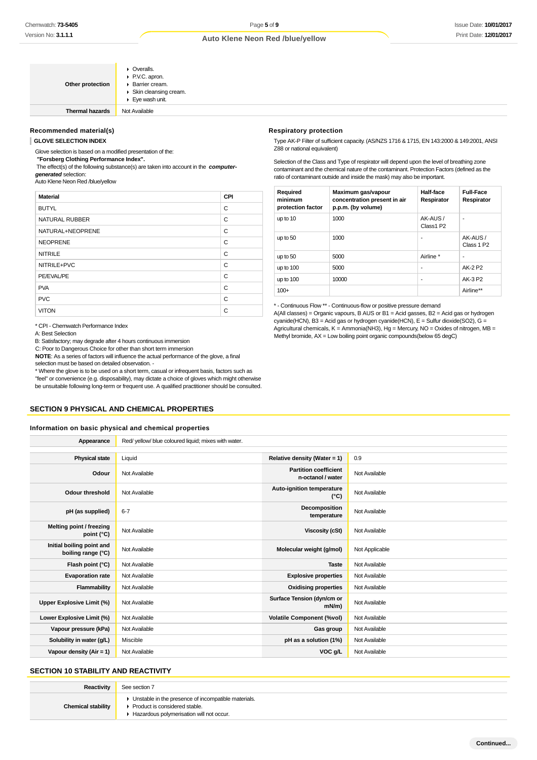| Other protection       | $\triangleright$ Overalls.<br>P.V.C. apron.<br>Barrier cream.<br>▶ Skin cleansing cream.<br>$\blacktriangleright$ Eye wash unit. |
|------------------------|----------------------------------------------------------------------------------------------------------------------------------|
| <b>Thermal hazards</b> | Not Available                                                                                                                    |

#### **Recommended material(s)**

#### **GLOVE SELECTION INDEX**

Glove selection is based on a modified presentation of the:

 **"Forsberg Clothing Performance Index".**

 The effect(s) of the following substance(s) are taken into account in the **computergenerated** selection:

Auto Klene Neon Red /blue/yellow

| <b>Material</b>  | CPI |
|------------------|-----|
| <b>BUTYL</b>     | C   |
| NATURAL RUBBER   | C   |
| NATURAL+NEOPRENE | C   |
| <b>NEOPRENE</b>  | C   |
| <b>NITRILE</b>   | C   |
| NITRILE+PVC      | C   |
| PE/EVAL/PE       | C   |
| <b>PVA</b>       | C   |
| <b>PVC</b>       | C   |
| <b>VITON</b>     | C   |

\* CPI - Chemwatch Performance Index

A: Best Selection

B: Satisfactory; may degrade after 4 hours continuous immersion

C: Poor to Dangerous Choice for other than short term immersion

**NOTE**: As a series of factors will influence the actual performance of the glove, a final

selection must be based on detailed observation. -

\* Where the glove is to be used on a short term, casual or infrequent basis, factors such as "feel" or convenience (e.g. disposability), may dictate a choice of gloves which might otherwise be unsuitable following long-term or frequent use. A qualified practitioner should be consulted.

## **SECTION 9 PHYSICAL AND CHEMICAL PROPERTIES**

#### **Information on basic physical and chemical properties**

**Appearance** Red/ yellow/ blue coloured liquid; mixes with water.

| <b>Physical state</b>                           | Liquid        | Relative density (Water = 1)                      | 0.9            |
|-------------------------------------------------|---------------|---------------------------------------------------|----------------|
| Odour                                           | Not Available | <b>Partition coefficient</b><br>n-octanol / water | Not Available  |
| Odour threshold                                 | Not Available | Auto-ignition temperature<br>$(^{\circ}C)$        | Not Available  |
| pH (as supplied)                                | $6 - 7$       | Decomposition<br>temperature                      | Not Available  |
| Melting point / freezing<br>point (°C)          | Not Available | <b>Viscosity (cSt)</b>                            | Not Available  |
| Initial boiling point and<br>boiling range (°C) | Not Available | Molecular weight (g/mol)                          | Not Applicable |
| Flash point (°C)                                | Not Available | <b>Taste</b>                                      | Not Available  |
| <b>Evaporation rate</b>                         | Not Available | <b>Explosive properties</b>                       | Not Available  |
| Flammability                                    | Not Available | <b>Oxidising properties</b>                       | Not Available  |
| Upper Explosive Limit (%)                       | Not Available | Surface Tension (dyn/cm or<br>mN/m                | Not Available  |
| Lower Explosive Limit (%)                       | Not Available | <b>Volatile Component (%vol)</b>                  | Not Available  |
| Vapour pressure (kPa)                           | Not Available | Gas group                                         | Not Available  |
| Solubility in water (g/L)                       | Miscible      | pH as a solution (1%)                             | Not Available  |
| Vapour density (Air = 1)                        | Not Available | VOC g/L                                           | Not Available  |

## **SECTION 10 STABILITY AND REACTIVITY**

**Chemical stability**

| Reactivity      | See section 7                                                                                                                        |
|-----------------|--------------------------------------------------------------------------------------------------------------------------------------|
| mical stabilitv | • Unstable in the presence of incompatible materials.<br>▶ Product is considered stable.<br>Hazardous polymerisation will not occur. |

#### **Respiratory protection**

Type AK-P Filter of sufficient capacity. (AS/NZS 1716 & 1715, EN 143:2000 & 149:2001, ANSI Z88 or national equivalent)

Selection of the Class and Type of respirator will depend upon the level of breathing zone contaminant and the chemical nature of the contaminant. Protection Factors (defined as the ratio of contaminant outside and inside the mask) may also be important.

| Required<br>minimum<br>protection factor | Maximum gas/vapour<br>concentration present in air<br>p.p.m. (by volume) | Half-face<br>Respirator | <b>Full-Face</b><br>Respirator     |
|------------------------------------------|--------------------------------------------------------------------------|-------------------------|------------------------------------|
| up to 10                                 | 1000                                                                     | AK-AUS /<br>Class1 P2   | -                                  |
| up to 50                                 | 1000                                                                     | ۰                       | AK-AUS /<br>Class 1 P <sub>2</sub> |
| up to 50                                 | 5000                                                                     | Airline *               | ۰                                  |
| up to 100                                | 5000                                                                     | ۰                       | AK-2 P2                            |
| up to $100$                              | 10000                                                                    | ٠                       | AK-3 P2                            |
| $100+$                                   |                                                                          |                         | Airline**                          |

\* - Continuous Flow \*\* - Continuous-flow or positive pressure demand A(All classes) = Organic vapours, B AUS or B1 = Acid gasses, B2 = Acid gas or hydrogen cyanide(HCN), B3 = Acid gas or hydrogen cyanide(HCN), E = Sulfur dioxide(SO2), G = Agricultural chemicals, K = Ammonia(NH3), Hg = Mercury, NO = Oxides of nitrogen, MB = Methyl bromide, AX = Low boiling point organic compounds(below 65 degC)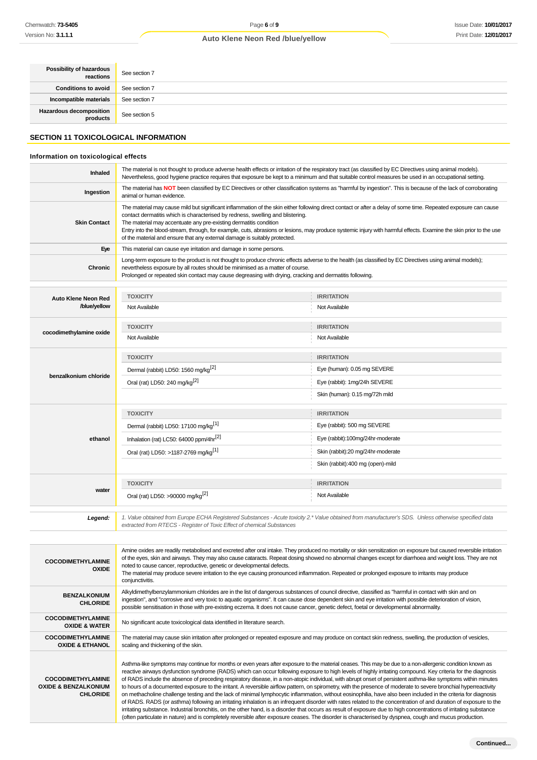| Possibility of hazardous<br>reactions       | See section 7                                                                                                                                                                                                                                                                                                        |  |  |  |
|---------------------------------------------|----------------------------------------------------------------------------------------------------------------------------------------------------------------------------------------------------------------------------------------------------------------------------------------------------------------------|--|--|--|
| <b>Conditions to avoid</b>                  | See section 7                                                                                                                                                                                                                                                                                                        |  |  |  |
| Incompatible materials                      | See section 7                                                                                                                                                                                                                                                                                                        |  |  |  |
| <b>Hazardous decomposition</b><br>products  | See section 5                                                                                                                                                                                                                                                                                                        |  |  |  |
| <b>SECTION 11 TOXICOLOGICAL INFORMATION</b> |                                                                                                                                                                                                                                                                                                                      |  |  |  |
| Information on toxicological effects        |                                                                                                                                                                                                                                                                                                                      |  |  |  |
| Inhaled                                     | The material is not thought to produce adverse health effects or irritation of the respiratory tract (as classified by EC Directives using animal models).<br>Nevertheless, good hygiene practice requires that exposure be kept to a minimum and that suitable control measures be used in an occupational setting. |  |  |  |
| Ingestion                                   | The material has NOT been classified by EC Directives or other classification systems as "harmful by ingestion". This is because of the lack of corroborating<br>animal or human evidence.                                                                                                                           |  |  |  |
|                                             |                                                                                                                                                                                                                                                                                                                      |  |  |  |

| <b>Skin Contact</b>     | The material may cause mild but significant inflammation of the skin either following direct contact or after a delay of some time. Repeated exposure can cause<br>contact dermatitis which is characterised by redness, swelling and blistering.<br>The material may accentuate any pre-existing dermatitis condition<br>Entry into the blood-stream, through, for example, cuts, abrasions or lesions, may produce systemic injury with harmful effects. Examine the skin prior to the use<br>of the material and ensure that any external damage is suitably protected. |                                   |  |  |
|-------------------------|----------------------------------------------------------------------------------------------------------------------------------------------------------------------------------------------------------------------------------------------------------------------------------------------------------------------------------------------------------------------------------------------------------------------------------------------------------------------------------------------------------------------------------------------------------------------------|-----------------------------------|--|--|
| Eye                     | This material can cause eye irritation and damage in some persons.                                                                                                                                                                                                                                                                                                                                                                                                                                                                                                         |                                   |  |  |
| Chronic                 | Long-term exposure to the product is not thought to produce chronic effects adverse to the health (as classified by EC Directives using animal models);<br>nevertheless exposure by all routes should be minimised as a matter of course.<br>Prolonged or repeated skin contact may cause degreasing with drying, cracking and dermatitis following.                                                                                                                                                                                                                       |                                   |  |  |
| Auto Klene Neon Red     | <b>TOXICITY</b>                                                                                                                                                                                                                                                                                                                                                                                                                                                                                                                                                            | <b>IRRITATION</b>                 |  |  |
| /blue/yellow            | Not Available                                                                                                                                                                                                                                                                                                                                                                                                                                                                                                                                                              | Not Available                     |  |  |
|                         | <b>TOXICITY</b>                                                                                                                                                                                                                                                                                                                                                                                                                                                                                                                                                            | <b>IRRITATION</b>                 |  |  |
| cocodimethylamine oxide | Not Available                                                                                                                                                                                                                                                                                                                                                                                                                                                                                                                                                              | Not Available                     |  |  |
|                         | <b>TOXICITY</b>                                                                                                                                                                                                                                                                                                                                                                                                                                                                                                                                                            | <b>IRRITATION</b>                 |  |  |
|                         | Dermal (rabbit) LD50: 1560 mg/kg <sup>[2]</sup>                                                                                                                                                                                                                                                                                                                                                                                                                                                                                                                            | Eye (human): 0.05 mg SEVERE       |  |  |
| benzalkonium chloride   | Oral (rat) LD50: 240 mg/kg <sup>[2]</sup>                                                                                                                                                                                                                                                                                                                                                                                                                                                                                                                                  | Eye (rabbit): 1mg/24h SEVERE      |  |  |
|                         |                                                                                                                                                                                                                                                                                                                                                                                                                                                                                                                                                                            | Skin (human): 0.15 mg/72h mild    |  |  |
|                         | <b>TOXICITY</b>                                                                                                                                                                                                                                                                                                                                                                                                                                                                                                                                                            | <b>IRRITATION</b>                 |  |  |
|                         | Dermal (rabbit) LD50: 17100 mg/kg <sup>[1]</sup>                                                                                                                                                                                                                                                                                                                                                                                                                                                                                                                           | Eye (rabbit): 500 mg SEVERE       |  |  |
| ethanol                 | Inhalation (rat) LC50: 64000 ppm/4hr <sup>[2]</sup>                                                                                                                                                                                                                                                                                                                                                                                                                                                                                                                        | Eye (rabbit):100mg/24hr-moderate  |  |  |
|                         | Oral (rat) LD50: >1187-2769 mg/kg <sup>[1]</sup>                                                                                                                                                                                                                                                                                                                                                                                                                                                                                                                           | Skin (rabbit):20 mg/24hr-moderate |  |  |
|                         |                                                                                                                                                                                                                                                                                                                                                                                                                                                                                                                                                                            | Skin (rabbit):400 mg (open)-mild  |  |  |
|                         | <b>TOXICITY</b>                                                                                                                                                                                                                                                                                                                                                                                                                                                                                                                                                            | <b>IRRITATION</b>                 |  |  |
| water                   | Oral (rat) LD50: >90000 mg/kg <sup>[2]</sup>                                                                                                                                                                                                                                                                                                                                                                                                                                                                                                                               | Not Available                     |  |  |
|                         | $\lambda$ , $\lambda$ - $\lambda$ , $\lambda$ , $\lambda$ - $\lambda$ , $\lambda$ , $\lambda$ , $\lambda$ , $\lambda$ , $\lambda$ , $\lambda$ , $\lambda$ , $\lambda$ , $\lambda$ , $\lambda$ , $\lambda$ , $\lambda$ , $\lambda$ , $\lambda$ , $\lambda$ , $\lambda$ , $\lambda$ , $\lambda$ , $\lambda$ , $\lambda$ , $\lambda$ , $\lambda$ , $\lambda$ , $\lambda$ , $\lambda$ , $\lambda$ , $\lambda$ , $\lambda$ , $\lambda$ , $\lambda$ , $\lambda$ ,                                                                                                                | J- ODO                            |  |  |

1. Value obtained from Europe ECHA Registered Substances - Acute toxicity 2.\* Value obtained from manufacturer's SDS. Unless otherwise specified data<br>extracted from RTECS - Register of Toxic Effect of chemical Substances

(often particulate in nature) and is completely reversible after exposure ceases. The disorder is characterised by dyspnea, cough and mucus production.

| <b>COCODIMETHYLAMINE</b><br><b>OXIDE</b>                                       | Amine oxides are readily metabolised and excreted after oral intake. They produced no mortality or skin sensitization on exposure but caused reversible irritation<br>of the eyes, skin and airways. They may also cause cataracts. Repeat dosing showed no abnormal changes except for diarrhoea and weight loss. They are not<br>noted to cause cancer, reproductive, genetic or developmental defects.<br>The material may produce severe irritation to the eye causing pronounced inflammation. Repeated or prolonged exposure to irritants may produce<br>conjunctivitis.                                                                                                                                                                                                                                                                                                                                                                                                                                                                                                                                                                                               |
|--------------------------------------------------------------------------------|------------------------------------------------------------------------------------------------------------------------------------------------------------------------------------------------------------------------------------------------------------------------------------------------------------------------------------------------------------------------------------------------------------------------------------------------------------------------------------------------------------------------------------------------------------------------------------------------------------------------------------------------------------------------------------------------------------------------------------------------------------------------------------------------------------------------------------------------------------------------------------------------------------------------------------------------------------------------------------------------------------------------------------------------------------------------------------------------------------------------------------------------------------------------------|
| <b>BENZALKONIUM</b><br><b>CHLORIDE</b>                                         | Alkyldimethylbenzylammonium chlorides are in the list of dangerous substances of council directive, classified as "harmful in contact with skin and on<br>ingestion", and "corrosive and very toxic to aquatic organisms". It can cause dose dependent skin and eye irritation with possible deterioration of vision,<br>possible sensitisation in those with pre-existing eczema. It does not cause cancer, genetic defect, foetal or developmental abnormality.                                                                                                                                                                                                                                                                                                                                                                                                                                                                                                                                                                                                                                                                                                            |
| <b>COCODIMETHYLAMINE</b><br><b>OXIDE &amp; WATER</b>                           | No significant acute toxicological data identified in literature search.                                                                                                                                                                                                                                                                                                                                                                                                                                                                                                                                                                                                                                                                                                                                                                                                                                                                                                                                                                                                                                                                                                     |
| <b>COCODIMETHYLAMINE</b><br><b>OXIDE &amp; ETHANOL</b>                         | The material may cause skin irritation after prolonged or repeated exposure and may produce on contact skin redness, swelling, the production of vesicles,<br>scaling and thickening of the skin.                                                                                                                                                                                                                                                                                                                                                                                                                                                                                                                                                                                                                                                                                                                                                                                                                                                                                                                                                                            |
| <b>COCODIMETHYLAMINE</b><br><b>OXIDE &amp; BENZALKONIUM</b><br><b>CHLORIDE</b> | Asthma-like symptoms may continue for months or even years after exposure to the material ceases. This may be due to a non-allergenic condition known as<br>reactive airways dysfunction syndrome (RADS) which can occur following exposure to high levels of highly irritating compound. Key criteria for the diagnosis<br>of RADS include the absence of preceding respiratory disease, in a non-atopic individual, with abrupt onset of persistent asthma-like symptoms within minutes<br>to hours of a documented exposure to the irritant. A reversible airflow pattern, on spirometry, with the presence of moderate to severe bronchial hyperreactivity<br>on methacholine challenge testing and the lack of minimal lymphocytic inflammation, without eosinophilia, have also been included in the criteria for diagnosis<br>of RADS. RADS (or asthma) following an irritating inhalation is an infrequent disorder with rates related to the concentration of and duration of exposure to the<br>irritating substance. Industrial bronchitis, on the other hand, is a disorder that occurs as result of exposure due to high concentrations of irritating substance |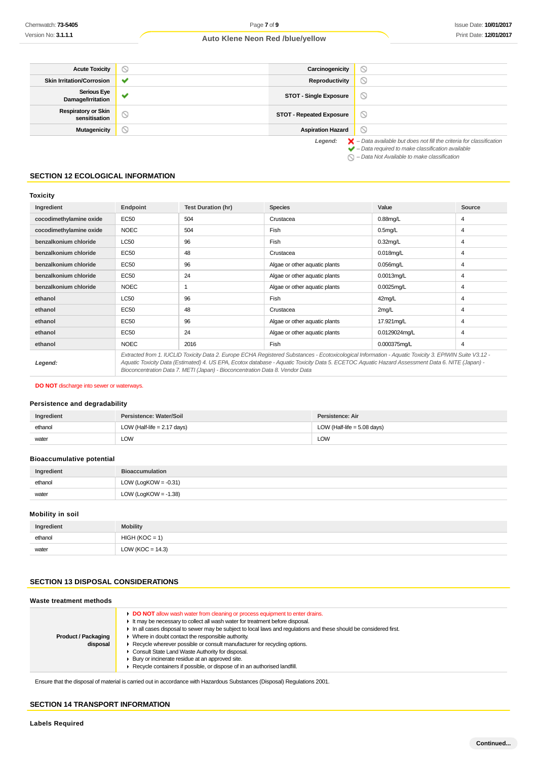| <b>Acute Toxicity</b>                       | $\scriptstyle\circ$      | Carcinogenicity                 | ∾                                                                                                                                                                  |
|---------------------------------------------|--------------------------|---------------------------------|--------------------------------------------------------------------------------------------------------------------------------------------------------------------|
| <b>Skin Irritation/Corrosion</b>            | ັ                        | Reproductivity                  | $\circledcirc$                                                                                                                                                     |
| <b>Serious Eye</b><br>Damage/Irritation     | $\overline{\phantom{a}}$ | <b>STOT - Single Exposure</b>   | $\circlearrowright$                                                                                                                                                |
| <b>Respiratory or Skin</b><br>sensitisation | Ø                        | <b>STOT - Repeated Exposure</b> | ∾                                                                                                                                                                  |
| <b>Mutagenicity</b>                         | S                        | <b>Aspiration Hazard</b>        | ∾                                                                                                                                                                  |
|                                             |                          | Legend:                         | $\blacktriangleright$ - Data available but does not fill the criteria for classification<br>$\blacktriangleright$ - Data required to make classification available |

– Data Not Available to make classification

## **SECTION 12 ECOLOGICAL INFORMATION**

## **Toxicity**

| Ingredient              | Endpoint    | <b>Test Duration (hr)</b>                                                    | <b>Species</b>                                                                                                                                                                                                                                                                                           | Value                | Source |
|-------------------------|-------------|------------------------------------------------------------------------------|----------------------------------------------------------------------------------------------------------------------------------------------------------------------------------------------------------------------------------------------------------------------------------------------------------|----------------------|--------|
| cocodimethylamine oxide | <b>EC50</b> | 504                                                                          | Crustacea                                                                                                                                                                                                                                                                                                | $0.88$ mg/L          | 4      |
| cocodimethylamine oxide | <b>NOEC</b> | 504                                                                          | Fish                                                                                                                                                                                                                                                                                                     | 0.5 <sub>mq</sub> /L | 4      |
| benzalkonium chloride   | <b>LC50</b> | 96                                                                           | Fish                                                                                                                                                                                                                                                                                                     | $0.32$ mg/L          | 4      |
| benzalkonium chloride   | EC50        | 48                                                                           | Crustacea                                                                                                                                                                                                                                                                                                | $0.018$ mg/L         | 4      |
| benzalkonium chloride   | <b>EC50</b> | 96                                                                           | Algae or other aquatic plants                                                                                                                                                                                                                                                                            | $0.056$ mg/L         | 4      |
| benzalkonium chloride   | <b>EC50</b> | 24                                                                           | Algae or other aquatic plants                                                                                                                                                                                                                                                                            | $0.0013$ mg/L        | 4      |
| benzalkonium chloride   | <b>NOEC</b> |                                                                              | Algae or other aquatic plants                                                                                                                                                                                                                                                                            | $0.0025$ mg/L        | 4      |
| ethanol                 | <b>LC50</b> | 96                                                                           | Fish                                                                                                                                                                                                                                                                                                     | 42mg/L               | 4      |
| ethanol                 | <b>EC50</b> | 48                                                                           | Crustacea                                                                                                                                                                                                                                                                                                | 2mg/L                | 4      |
| ethanol                 | EC50        | 96                                                                           | Algae or other aquatic plants                                                                                                                                                                                                                                                                            | 17.921mg/L           | 4      |
| ethanol                 | EC50        | 24                                                                           | Algae or other aquatic plants                                                                                                                                                                                                                                                                            | 0.0129024mg/L        | 4      |
| ethanol                 | <b>NOEC</b> | 2016                                                                         | Fish                                                                                                                                                                                                                                                                                                     | 0.000375mg/L         | 4      |
| Legend:                 |             | Bioconcentration Data 7. METI (Japan) - Bioconcentration Data 8. Vendor Data | Extracted from 1. IUCLID Toxicity Data 2. Europe ECHA Registered Substances - Ecotoxicological Information - Aquatic Toxicity 3. EPIWIN Suite V3.12 -<br>Aquatic Toxicity Data (Estimated) 4. US EPA, Ecotox database - Aquatic Toxicity Data 5. ECETOC Aquatic Hazard Assessment Data 6. NITE (Japan) - |                      |        |

**DO NOT** discharge into sewer or waterways.

## **Persistence and degradability**

| Ingredient | Persistence: Water/Soil       | Persistence: Air              |
|------------|-------------------------------|-------------------------------|
| ethanol    | LOW (Half-life $= 2.17$ days) | LOW (Half-life $= 5.08$ days) |
| water      | LOW                           | LOW                           |

# **Bioaccumulative potential**

| Ingredient | <b>Bioaccumulation</b>  |
|------------|-------------------------|
| ethanol    | LOW (LogKOW = $-0.31$ ) |
| water      | LOW (LogKOW = $-1.38$ ) |

#### **Mobility in soil**

| Ingredient | <b>Mobility</b>      |
|------------|----------------------|
| ethanol    | $HIGH (KOC = 1)$     |
| water      | LOW ( $KOC = 14.3$ ) |

# **SECTION 13 DISPOSAL CONSIDERATIONS**

| Waste treatment methods                |                                                                                                                                                                                                                                                                                                                                                                                                                                                                                                                                                                                                            |  |
|----------------------------------------|------------------------------------------------------------------------------------------------------------------------------------------------------------------------------------------------------------------------------------------------------------------------------------------------------------------------------------------------------------------------------------------------------------------------------------------------------------------------------------------------------------------------------------------------------------------------------------------------------------|--|
| <b>Product / Packaging</b><br>disposal | DO NOT allow wash water from cleaning or process equipment to enter drains.<br>It may be necessary to collect all wash water for treatment before disposal.<br>In all cases disposal to sewer may be subject to local laws and regulations and these should be considered first.<br>• Where in doubt contact the responsible authority.<br>► Recycle wherever possible or consult manufacturer for recycling options.<br>Consult State Land Waste Authority for disposal.<br>▶ Bury or incinerate residue at an approved site.<br>Recycle containers if possible, or dispose of in an authorised landfill. |  |

Ensure that the disposal of material is carried out in accordance with Hazardous Substances (Disposal) Regulations 2001.

#### **SECTION 14 TRANSPORT INFORMATION**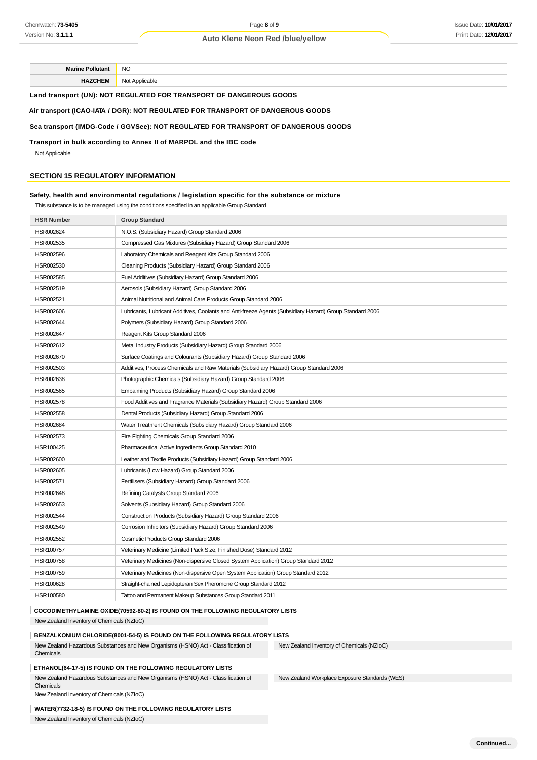**Marine Pollutant** NO **HAZCHEM** Not Applicable

**Land transport (UN): NOT REGULATED FOR TRANSPORT OF DANGEROUS GOODS**

## **Air transport (ICAO-IATA / DGR): NOT REGULATED FOR TRANSPORT OF DANGEROUS GOODS**

#### **Sea transport (IMDG-Code / GGVSee): NOT REGULATED FOR TRANSPORT OF DANGEROUS GOODS**

**Transport in bulk according to Annex II of MARPOL and the IBC code**

Not Applicable

## **SECTION 15 REGULATORY INFORMATION**

## **Safety, health and environmental regulations / legislation specific for the substance or mixture**

This substance is to be managed using the conditions specified in an applicable Group Standard

| <b>HSR Number</b>                                                              | <b>Group Standard</b>                                                                                    |                                                |  |
|--------------------------------------------------------------------------------|----------------------------------------------------------------------------------------------------------|------------------------------------------------|--|
| HSR002624                                                                      | N.O.S. (Subsidiary Hazard) Group Standard 2006                                                           |                                                |  |
| HSR002535                                                                      | Compressed Gas Mixtures (Subsidiary Hazard) Group Standard 2006                                          |                                                |  |
| HSR002596                                                                      | Laboratory Chemicals and Reagent Kits Group Standard 2006                                                |                                                |  |
| HSR002530                                                                      | Cleaning Products (Subsidiary Hazard) Group Standard 2006                                                |                                                |  |
| HSR002585                                                                      | Fuel Additives (Subsidiary Hazard) Group Standard 2006                                                   |                                                |  |
| HSR002519                                                                      | Aerosols (Subsidiary Hazard) Group Standard 2006                                                         |                                                |  |
| HSR002521                                                                      | Animal Nutritional and Animal Care Products Group Standard 2006                                          |                                                |  |
| HSR002606                                                                      | Lubricants, Lubricant Additives, Coolants and Anti-freeze Agents (Subsidiary Hazard) Group Standard 2006 |                                                |  |
| HSR002644                                                                      | Polymers (Subsidiary Hazard) Group Standard 2006                                                         |                                                |  |
| HSR002647                                                                      | Reagent Kits Group Standard 2006                                                                         |                                                |  |
| HSR002612                                                                      | Metal Industry Products (Subsidiary Hazard) Group Standard 2006                                          |                                                |  |
| HSR002670                                                                      | Surface Coatings and Colourants (Subsidiary Hazard) Group Standard 2006                                  |                                                |  |
| HSR002503                                                                      | Additives, Process Chemicals and Raw Materials (Subsidiary Hazard) Group Standard 2006                   |                                                |  |
| HSR002638                                                                      | Photographic Chemicals (Subsidiary Hazard) Group Standard 2006                                           |                                                |  |
| HSR002565                                                                      | Embalming Products (Subsidiary Hazard) Group Standard 2006                                               |                                                |  |
| HSR002578                                                                      | Food Additives and Fragrance Materials (Subsidiary Hazard) Group Standard 2006                           |                                                |  |
| HSR002558                                                                      | Dental Products (Subsidiary Hazard) Group Standard 2006                                                  |                                                |  |
| HSR002684                                                                      | Water Treatment Chemicals (Subsidiary Hazard) Group Standard 2006                                        |                                                |  |
| HSR002573                                                                      | Fire Fighting Chemicals Group Standard 2006                                                              |                                                |  |
| HSR100425                                                                      | Pharmaceutical Active Ingredients Group Standard 2010                                                    |                                                |  |
| HSR002600                                                                      | Leather and Textile Products (Subsidiary Hazard) Group Standard 2006                                     |                                                |  |
| HSR002605                                                                      | Lubricants (Low Hazard) Group Standard 2006                                                              |                                                |  |
| HSR002571                                                                      | Fertilisers (Subsidiary Hazard) Group Standard 2006                                                      |                                                |  |
| HSR002648                                                                      | Refining Catalysts Group Standard 2006                                                                   |                                                |  |
| HSR002653                                                                      | Solvents (Subsidiary Hazard) Group Standard 2006                                                         |                                                |  |
| HSR002544                                                                      | Construction Products (Subsidiary Hazard) Group Standard 2006                                            |                                                |  |
| HSR002549                                                                      | Corrosion Inhibitors (Subsidiary Hazard) Group Standard 2006                                             |                                                |  |
| HSR002552                                                                      | Cosmetic Products Group Standard 2006                                                                    |                                                |  |
| HSR100757                                                                      | Veterinary Medicine (Limited Pack Size, Finished Dose) Standard 2012                                     |                                                |  |
| HSR100758                                                                      | Veterinary Medicines (Non-dispersive Closed System Application) Group Standard 2012                      |                                                |  |
| HSR100759                                                                      | Veterinary Medicines (Non-dispersive Open System Application) Group Standard 2012                        |                                                |  |
| HSR100628                                                                      | Straight-chained Lepidopteran Sex Pheromone Group Standard 2012                                          |                                                |  |
| HSR100580                                                                      | Tattoo and Permanent Makeup Substances Group Standard 2011                                               |                                                |  |
| COCODIMETHYLAMINE OXIDE(70592-80-2) IS FOUND ON THE FOLLOWING REGULATORY LISTS |                                                                                                          |                                                |  |
| New Zealand Inventory of Chemicals (NZIoC)                                     |                                                                                                          |                                                |  |
| BENZALKONIUM CHLORIDE(8001-54-5) IS FOUND ON THE FOLLOWING REGULATORY LISTS    |                                                                                                          |                                                |  |
| Chemicals                                                                      | New Zealand Hazardous Substances and New Organisms (HSNO) Act - Classification of                        | New Zealand Inventory of Chemicals (NZIoC)     |  |
|                                                                                | ETHANOL(64-17-5) IS FOUND ON THE FOLLOWING REGULATORY LISTS                                              |                                                |  |
| Chemicals                                                                      | New Zealand Hazardous Substances and New Organisms (HSNO) Act - Classification of                        | New Zealand Workplace Exposure Standards (WES) |  |
| New Zealand Inventory of Chemicals (NZIoC)                                     |                                                                                                          |                                                |  |

#### **WATER(7732-18-5) IS FOUND ON THE FOLLOWING REGULATORY LISTS**

New Zealand Inventory of Chemicals (NZIoC)